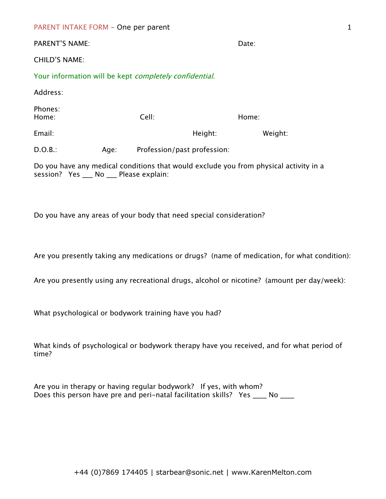| PARENT INTAKE FORM - One per parent |  |  |  |
|-------------------------------------|--|--|--|
|-------------------------------------|--|--|--|

| <b>PARENT'S NAME:</b>                                                                                                            |      |                             |         | Date:   |  |  |  |
|----------------------------------------------------------------------------------------------------------------------------------|------|-----------------------------|---------|---------|--|--|--|
| <b>CHILD'S NAME:</b>                                                                                                             |      |                             |         |         |  |  |  |
| Your information will be kept <i>completely confidential</i> .                                                                   |      |                             |         |         |  |  |  |
| Address:                                                                                                                         |      |                             |         |         |  |  |  |
| Phones:<br>Home:                                                                                                                 |      | Cell:                       |         | Home:   |  |  |  |
| Email:                                                                                                                           |      |                             | Height: | Weight: |  |  |  |
| D.O.B.:                                                                                                                          | Age: | Profession/past profession: |         |         |  |  |  |
| Do you have any medical conditions that would exclude you from physical activity in a<br>session? Yes ___ No ___ Please explain: |      |                             |         |         |  |  |  |

Do you have any areas of your body that need special consideration?

Are you presently taking any medications or drugs? (name of medication, for what condition):

Are you presently using any recreational drugs, alcohol or nicotine? (amount per day/week):

What psychological or bodywork training have you had?

What kinds of psychological or bodywork therapy have you received, and for what period of time?

Are you in therapy or having regular bodywork? If yes, with whom? Does this person have pre and peri-natal facilitation skills? Yes \_\_\_\_ No \_\_\_\_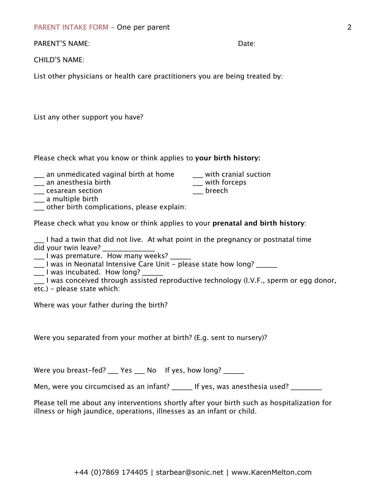PARENT INTAKE FORM - One per parent

PARENT'S NAME: **Date:** Date: **Date:** Date: **Date:** Date: **Date:** Date: **Date: Date: Date: Date: Date: Date: Date: Date: Date: Date: Date: Date: Date: Date: Date: Date: Date: Date: Date:** 

CHILD'S NAME:

List other physicians or health care practitioners you are being treated by:

List any other support you have?

Please check what you know or think applies to **your birth history:**

- \_\_\_ an unmedicated vaginal birth at home \_\_\_\_ with cranial suction \_\_\_ an anesthesia birth
- $\frac{1}{\sqrt{2}}$  an anesthesia birth
- 
- \_\_\_ cesarean section \_\_\_ breech
- \_\_\_ a multiple birth \_\_\_ other birth complications, please explain:

Please check what you know or think applies to your **prenatal and birth history**:

I had a twin that did not live. At what point in the pregnancy or postnatal time did your twin leave?

\_\_\_ I was premature. How many weeks? \_\_\_\_\_\_

 $\frac{1}{2}$  I was in Neonatal Intensive Care Unit - please state how long?

 $\frac{1}{2}$  I was incubated. How long?  $\frac{1}{2}$ 

\_\_\_ I was conceived through assisted reproductive technology (I.V.F., sperm or egg donor, etc.) – please state which:

Where was your father during the birth?

Were you separated from your mother at birth? (E.g. sent to nursery)?

Were you breast-fed? \_\_\_ Yes \_\_\_ No If yes, how long? \_\_\_\_\_

Men, were you circumcised as an infant? Figures, was anesthesia used?

Please tell me about any interventions shortly after your birth such as hospitalization for illness or high jaundice, operations, illnesses as an infant or child.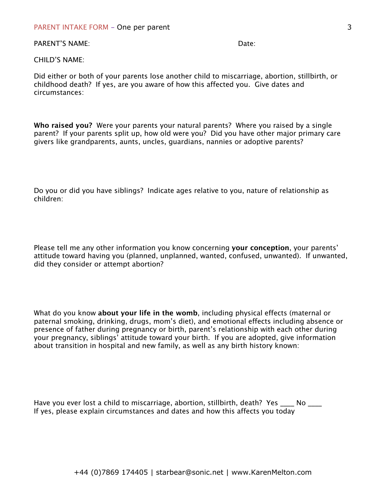## PARENT INTAKE FORM - One per parent

## PARFNT'S NAME: **Date:** Date: **Date:** Date: **Date:** Date: **Date:** Date: **Date: Date: Date: Date: Date: Date: Date: Date: Date: Date: Date: Date: Date: Date: Date: Date: Date: Date: Date:**

## CHILD'S NAME:

Did either or both of your parents lose another child to miscarriage, abortion, stillbirth, or childhood death? If yes, are you aware of how this affected you. Give dates and circumstances:

**Who raised you?** Were your parents your natural parents? Where you raised by a single parent? If your parents split up, how old were you? Did you have other major primary care givers like grandparents, aunts, uncles, guardians, nannies or adoptive parents?

Do you or did you have siblings? Indicate ages relative to you, nature of relationship as children:

Please tell me any other information you know concerning **your conception**, your parents' attitude toward having you (planned, unplanned, wanted, confused, unwanted). If unwanted, did they consider or attempt abortion?

What do you know **about your life in the womb**, including physical effects (maternal or paternal smoking, drinking, drugs, mom's diet), and emotional effects including absence or presence of father during pregnancy or birth, parent's relationship with each other during your pregnancy, siblings' attitude toward your birth. If you are adopted, give information about transition in hospital and new family, as well as any birth history known:

| Have you ever lost a child to miscarriage, abortion, stillbirth, death? Yes   |  |  |
|-------------------------------------------------------------------------------|--|--|
| If yes, please explain circumstances and dates and how this affects you today |  |  |